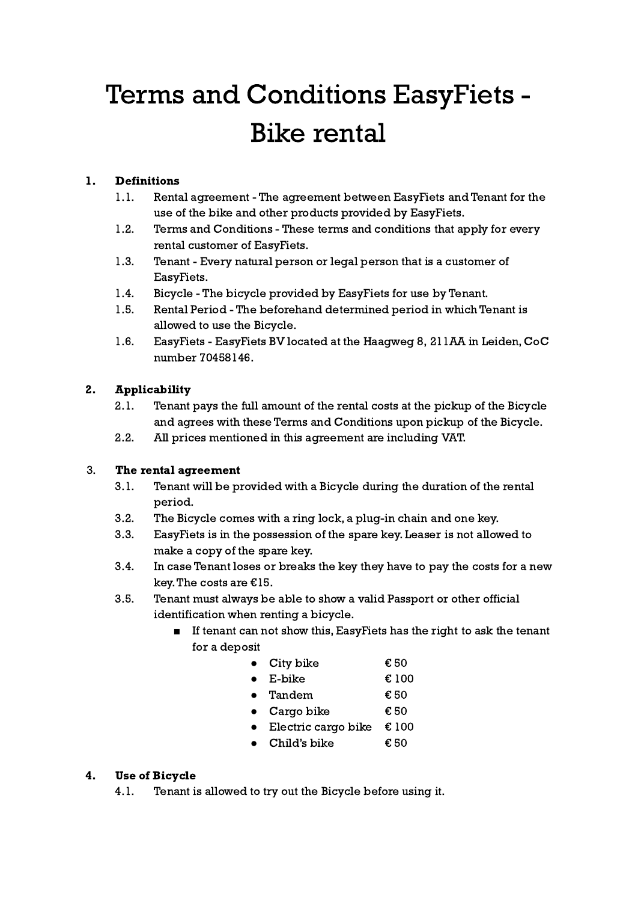# Terms and Conditions EasyFiets - Bike rental

#### 1. Definitions

- 1.1. Rental agreement The agreement between EasyFiets and Tenant for the use of the bike and other products provided by EasyFiets.
- 1.2. Terms and Conditions These terms and conditions that apply for every rental customer of EasyFiets.
- 1.3. Tenant Every natural person or legal person that is a customer of EasyFiets.
- 1.4. Bicycle The bicycle provided by EasyFiets for use by Tenant.
- 1.5. Rental Period The beforehand determined period in which Tenant is allowed to use the Bicycle.
- 1.6. EasyFiets EasyFiets BV located at the Haagweg 8, 211AA in Leiden, CoC number 70458146.

### 2. Applicability

- 2.1. Tenant pays the full amount of the rental costs at the pickup of the Bicycle and agrees with these Terms and Conditions upon pickup of the Bicycle.
- 2.2. All prices mentioned in this agreement are including VAT.

#### 3. The rental agreement

- 3.1. Tenant will be provided with a Bicycle during the duration of the rental period.
- 3.2. The Bicycle comes with a ring lock, a plug-in chain and one key.
- 3.3. EasyFiets is in the possession of the spare key. Leaser is not allowed to make a copy of the spare key.
- 3.4. In case Tenant loses or breaks the key they have to pay the costs for a new key.The costs are €15.
- 3.5. Tenant must always be able to show a valid Passport or other official identification when renting a bicycle.
	- If tenant can not show this, EasyFiets has the right to ask the tenant for a deposit

|           | $\bullet$ City bike  | € 50  |
|-----------|----------------------|-------|
| $\bullet$ | E-bike               | € 100 |
|           | $\bullet$ Tandem     | € 50  |
|           | $\bullet$ Cargo bike | € 50  |

- $\bullet$  Electric cargo bike € 100
- Child's bike  $\epsilon$  50

#### 4. Use of Bicycle

4.1. Tenant is allowed to try out the Bicycle before using it.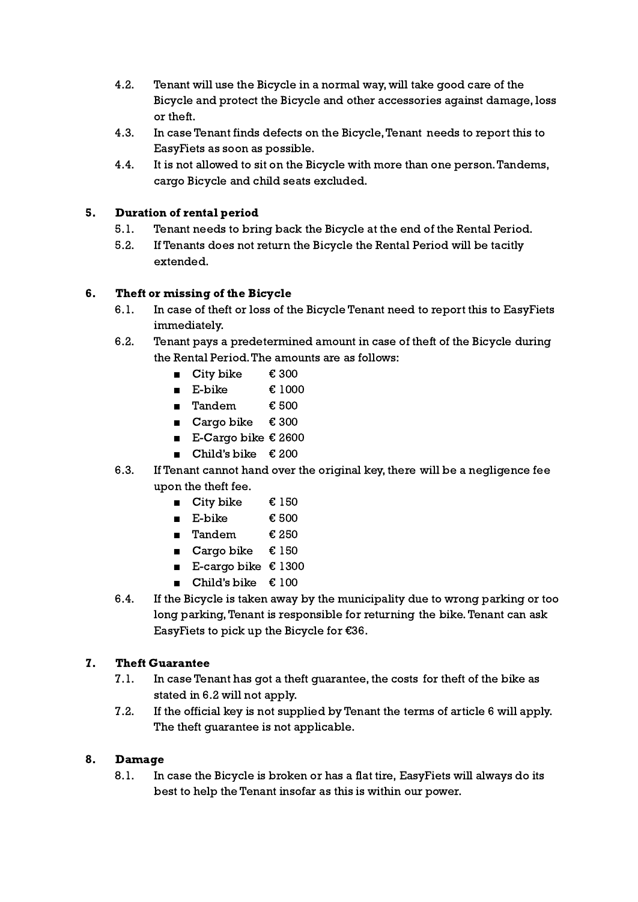- 4.2. Tenant will use the Bicycle in a normal way, will take good care of the Bicycle and protect the Bicycle and other accessories against damage, loss or theft.
- 4.3. In case Tenant finds defects on the Bicycle,Tenant needs to report this to EasyFiets as soon as possible.
- 4.4. It is not allowed to sit on the Bicycle with more than one person.Tandems, cargo Bicycle and child seats excluded.

#### 5. Duration of rental period

- 5.1. Tenant needs to bring back the Bicycle at the end of the Rental Period.
- 5.2. If Tenants does not return the Bicycle the Rental Period will be tacitly extended.

#### 6. Theft or missing of the Bicycle

- 6.1. In case of theft or loss of the Bicycle Tenant need to report this to EasyFiets immediately.
- 6.2. Tenant pays a predetermined amount in case of theft of the Bicycle during the Rental Period.The amounts are as follows:
	- City bike € 300
	- E-bike  $€ 1000$
	- Tandem € 500
	- Cargo bike € 300
	- E-Cargo bike  $€ 2600$
	- Child's bike  $€ 200$
- 6.3. If Tenant cannot hand over the original key, there will be a negligence fee upon the theft fee.
	- City bike  $€ 150$
	- E-bike  $€ 500$
	- Tandem € 250
	- Cargo bike  $€ 150$
	- E-cargo bike  $€ 1300$
	- Child's bike € 100
- 6.4. If the Bicycle is taken away by the municipality due to wrong parking or too long parking, Tenant is responsible for returning the bike. Tenant can ask EasyFiets to pick up the Bicycle for €36.

#### 7. Theft Guarantee

- 7.1. In case Tenant has got a theft guarantee, the costs for theft of the bike as stated in 6.2 will not apply.
- 7.2. If the official key is not supplied by Tenant the terms of article 6 will apply. The theft guarantee is not applicable.

#### 8. Damage

8.1. In case the Bicycle is broken or has a flat tire, EasyFiets will always do its best to help the Tenant insofar as this is within our power.